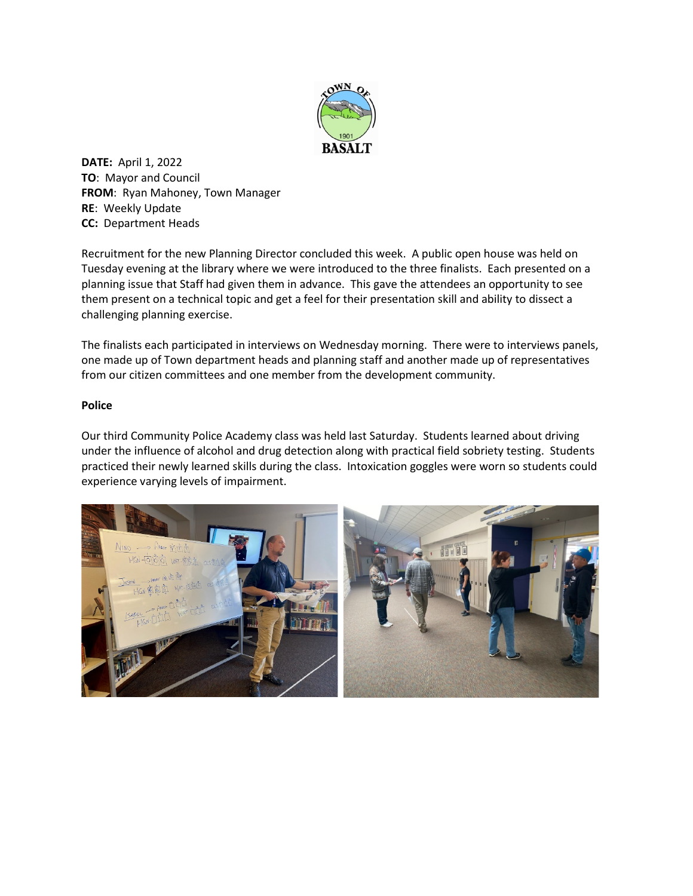

**DATE:** April 1, 2022 **TO**: Mayor and Council **FROM**: Ryan Mahoney, Town Manager **RE**: Weekly Update **CC:** Department Heads

Recruitment for the new Planning Director concluded this week. A public open house was held on Tuesday evening at the library where we were introduced to the three finalists. Each presented on a planning issue that Staff had given them in advance. This gave the attendees an opportunity to see them present on a technical topic and get a feel for their presentation skill and ability to dissect a challenging planning exercise.

The finalists each participated in interviews on Wednesday morning. There were to interviews panels, one made up of Town department heads and planning staff and another made up of representatives from our citizen committees and one member from the development community.

## **Police**

Our third Community Police Academy class was held last Saturday. Students learned about driving under the influence of alcohol and drug detection along with practical field sobriety testing. Students practiced their newly learned skills during the class. Intoxication goggles were worn so students could experience varying levels of impairment.

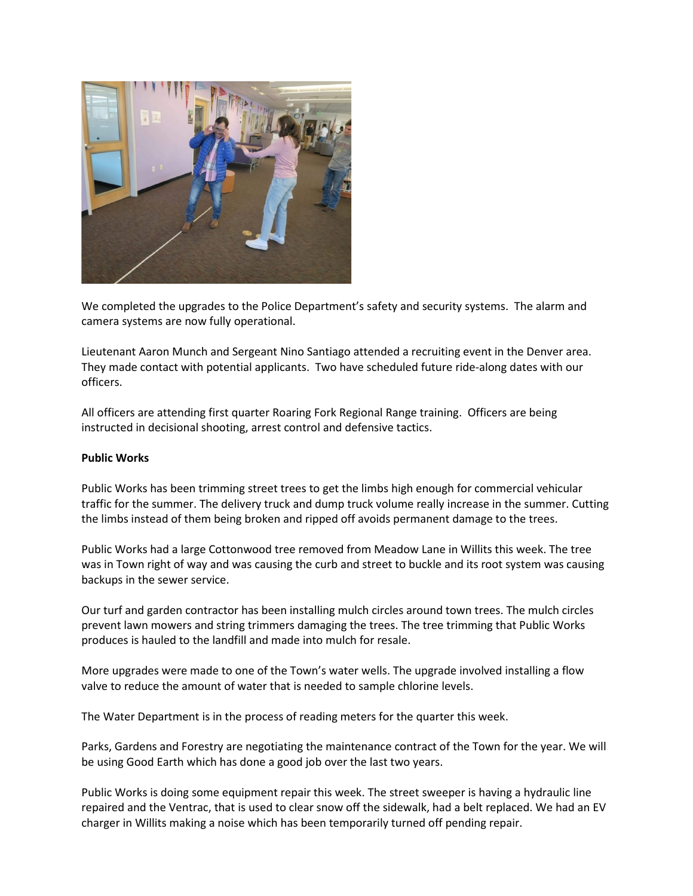

We completed the upgrades to the Police Department's safety and security systems. The alarm and camera systems are now fully operational.

Lieutenant Aaron Munch and Sergeant Nino Santiago attended a recruiting event in the Denver area. They made contact with potential applicants. Two have scheduled future ride-along dates with our officers.

All officers are attending first quarter Roaring Fork Regional Range training. Officers are being instructed in decisional shooting, arrest control and defensive tactics.

## **Public Works**

Public Works has been trimming street trees to get the limbs high enough for commercial vehicular traffic for the summer. The delivery truck and dump truck volume really increase in the summer. Cutting the limbs instead of them being broken and ripped off avoids permanent damage to the trees.

Public Works had a large Cottonwood tree removed from Meadow Lane in Willits this week. The tree was in Town right of way and was causing the curb and street to buckle and its root system was causing backups in the sewer service.

Our turf and garden contractor has been installing mulch circles around town trees. The mulch circles prevent lawn mowers and string trimmers damaging the trees. The tree trimming that Public Works produces is hauled to the landfill and made into mulch for resale.

More upgrades were made to one of the Town's water wells. The upgrade involved installing a flow valve to reduce the amount of water that is needed to sample chlorine levels.

The Water Department is in the process of reading meters for the quarter this week.

Parks, Gardens and Forestry are negotiating the maintenance contract of the Town for the year. We will be using Good Earth which has done a good job over the last two years.

Public Works is doing some equipment repair this week. The street sweeper is having a hydraulic line repaired and the Ventrac, that is used to clear snow off the sidewalk, had a belt replaced. We had an EV charger in Willits making a noise which has been temporarily turned off pending repair.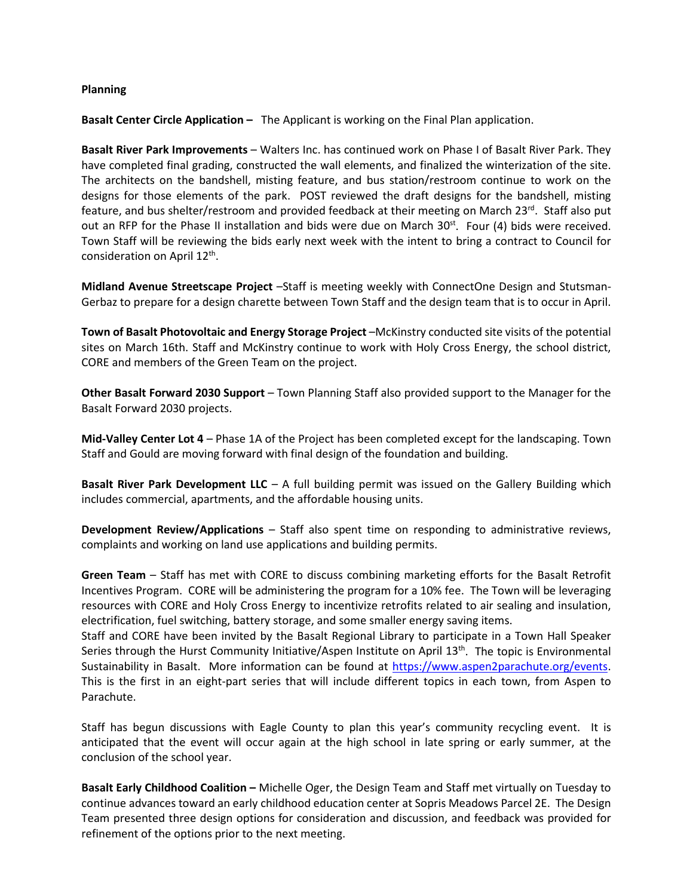## **Planning**

**Basalt Center Circle Application –** The Applicant is working on the Final Plan application.

**Basalt River Park Improvements** – Walters Inc. has continued work on Phase I of Basalt River Park. They have completed final grading, constructed the wall elements, and finalized the winterization of the site. The architects on the bandshell, misting feature, and bus station/restroom continue to work on the designs for those elements of the park. POST reviewed the draft designs for the bandshell, misting feature, and bus shelter/restroom and provided feedback at their meeting on March 23<sup>rd</sup>. Staff also put out an RFP for the Phase II installation and bids were due on March  $30<sup>st</sup>$ . Four (4) bids were received. Town Staff will be reviewing the bids early next week with the intent to bring a contract to Council for consideration on April 12<sup>th</sup>.

**Midland Avenue Streetscape Project** –Staff is meeting weekly with ConnectOne Design and Stutsman-Gerbaz to prepare for a design charette between Town Staff and the design team that is to occur in April.

**Town of Basalt Photovoltaic and Energy Storage Project** –McKinstry conducted site visits of the potential sites on March 16th. Staff and McKinstry continue to work with Holy Cross Energy, the school district, CORE and members of the Green Team on the project.

**Other Basalt Forward 2030 Support** – Town Planning Staff also provided support to the Manager for the Basalt Forward 2030 projects.

**Mid-Valley Center Lot 4** – Phase 1A of the Project has been completed except for the landscaping. Town Staff and Gould are moving forward with final design of the foundation and building.

**Basalt River Park Development LLC** – A full building permit was issued on the Gallery Building which includes commercial, apartments, and the affordable housing units.

**Development Review/Applications** – Staff also spent time on responding to administrative reviews, complaints and working on land use applications and building permits.

**Green Team** – Staff has met with CORE to discuss combining marketing efforts for the Basalt Retrofit Incentives Program. CORE will be administering the program for a 10% fee. The Town will be leveraging resources with CORE and Holy Cross Energy to incentivize retrofits related to air sealing and insulation, electrification, fuel switching, battery storage, and some smaller energy saving items.

Staff and CORE have been invited by the Basalt Regional Library to participate in a Town Hall Speaker Series through the Hurst Community Initiative/Aspen Institute on April 13<sup>th</sup>. The topic is Environmental Sustainability in Basalt. More information can be found at [https://www.aspen2parachute.org/events.](https://www.aspen2parachute.org/events) This is the first in an eight-part series that will include different topics in each town, from Aspen to Parachute.

Staff has begun discussions with Eagle County to plan this year's community recycling event. It is anticipated that the event will occur again at the high school in late spring or early summer, at the conclusion of the school year.

**Basalt Early Childhood Coalition –** Michelle Oger, the Design Team and Staff met virtually on Tuesday to continue advances toward an early childhood education center at Sopris Meadows Parcel 2E. The Design Team presented three design options for consideration and discussion, and feedback was provided for refinement of the options prior to the next meeting.